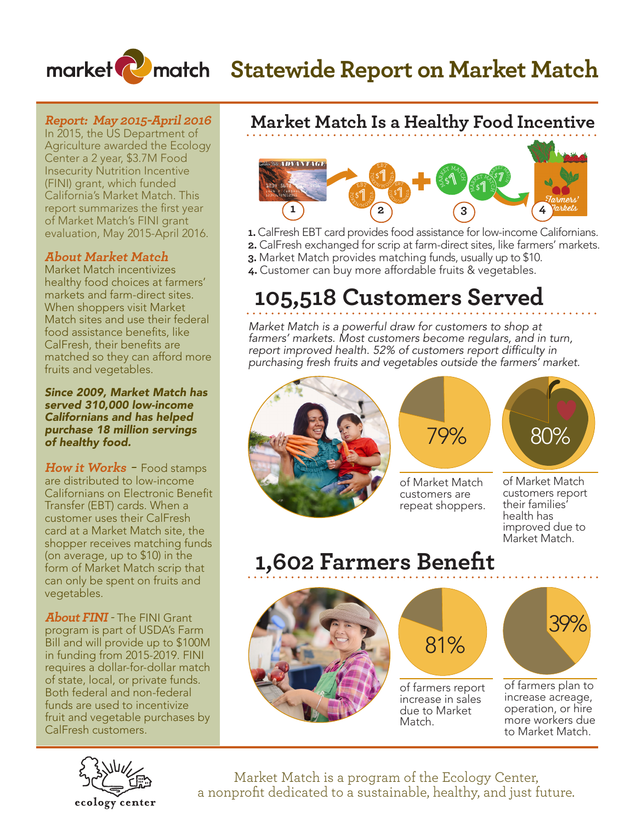# **Market Compate Statewide Report on Market Match**

### **Report: May 2015-April 2016**

In 2015, the US Department of Agriculture awarded the Ecology Center a 2 year, \$3.7M Food Insecurity Nutrition Incentive (FINI) grant, which funded California's Market Match. This report summarizes the first year of Market Match's FINI grant evaluation, May 2015-April 2016.

### **About Market Match**

Market Match incentivizes healthy food choices at farmers' markets and farm-direct sites. When shoppers visit Market Match sites and use their federal food assistance benefits, like CalFresh, their benefits are matched so they can afford more fruits and vegetables.

*Since 2009, Market Match has served 310,000 low-income Californians and has helped purchase 18 million servings of healthy food.*

**How it Works** - Food stamps are distributed to low-income Californians on Electronic Benefit Transfer (EBT) cards. When a customer uses their CalFresh card at a Market Match site, the shopper receives matching funds (on average, up to \$10) in the form of Market Match scrip that can only be spent on fruits and vegetables.

**About FINI** - The FINI Grant program is part of USDA's Farm Bill and will provide up to \$100M in funding from 2015-2019. FINI requires a dollar-for-dollar match of state, local, or private funds. Both federal and non-federal funds are used to incentivize fruit and vegetable purchases by CalFresh customers.





- **1.** CalFresh EBT card provides food assistance for low-income Californians.
- **2.** CalFresh exchanged for scrip at farm-direct sites, like farmers' markets. **3.** Market Match provides matching funds, usually up to \$10.
- **4.** Customer can buy more affordable fruits & vegetables.

## **105,518 Customers Served**

*Market Match is a powerful draw for customers to shop at farmers' markets. Most customers become regulars, and in turn, report improved health. 52% of customers report difficulty in purchasing fresh fruits and vegetables outside the farmers' market.* 





of Market Match customers are repeat shoppers.



of Market Match customers report their families' health has improved due to Market Match.

## **1,602 Farmers Benefit**





of farmers report increase in sales due to Market Match.



of farmers plan to increase acreage, operation, or hire more workers due to Market Match.



Market Match is a program of the Ecology Center, a nonprofit dedicated to a sustainable, healthy, and just future.